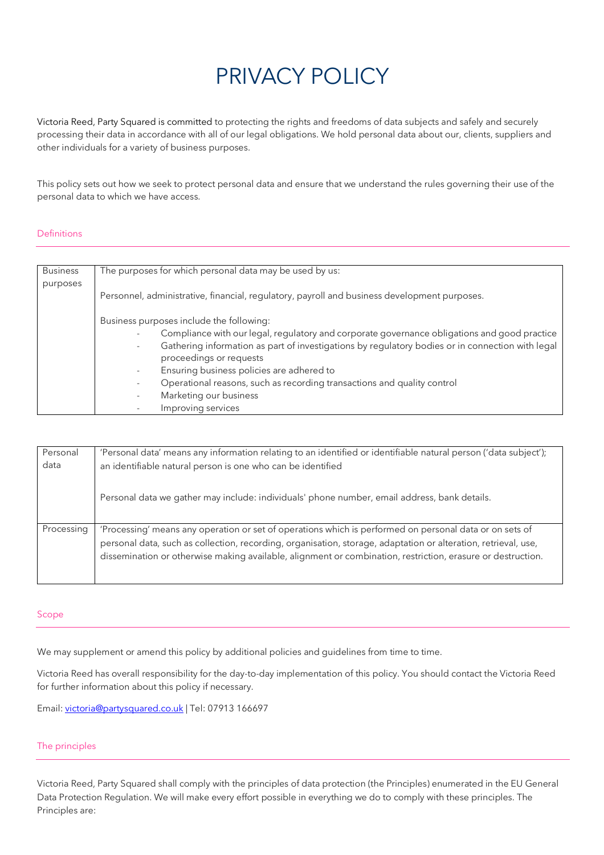# PRIVACY POLICY

Victoria Reed, Party Squared is committed to protecting the rights and freedoms of data subjects and safely and securely processing their data in accordance with all of our legal obligations. We hold personal data about our, clients, suppliers and other individuals for a variety of business purposes.

This policy sets out how we seek to protect personal data and ensure that we understand the rules governing their use of the personal data to which we have access.

## Definitions

| <b>Business</b> | The purposes for which personal data may be used by us:                                          |
|-----------------|--------------------------------------------------------------------------------------------------|
| purposes        |                                                                                                  |
|                 | Personnel, administrative, financial, regulatory, payroll and business development purposes.     |
|                 | Business purposes include the following:                                                         |
|                 | Compliance with our legal, regulatory and corporate governance obligations and good practice     |
|                 | Gathering information as part of investigations by regulatory bodies or in connection with legal |
|                 | proceedings or requests                                                                          |
|                 | Ensuring business policies are adhered to<br>-                                                   |
|                 | Operational reasons, such as recording transactions and quality control<br>٠                     |
|                 | Marketing our business                                                                           |
|                 | Improving services                                                                               |

| Personal<br>data | 'Personal data' means any information relating to an identified or identifiable natural person ('data subject');<br>an identifiable natural person is one who can be identified                                                                                                                                                          |
|------------------|------------------------------------------------------------------------------------------------------------------------------------------------------------------------------------------------------------------------------------------------------------------------------------------------------------------------------------------|
|                  | Personal data we gather may include: individuals' phone number, email address, bank details.                                                                                                                                                                                                                                             |
| Processing       | 'Processing' means any operation or set of operations which is performed on personal data or on sets of<br>personal data, such as collection, recording, organisation, storage, adaptation or alteration, retrieval, use,<br>dissemination or otherwise making available, alignment or combination, restriction, erasure or destruction. |

#### Scope

We may supplement or amend this policy by additional policies and guidelines from time to time.

Victoria Reed has overall responsibility for the day-to-day implementation of this policy. You should contact the Victoria Reed for further information about this policy if necessary.

Email: victoria@partysquared.co.uk | Tel: 07913 166697

#### The principles

Victoria Reed, Party Squared shall comply with the principles of data protection (the Principles) enumerated in the EU General Data Protection Regulation. We will make every effort possible in everything we do to comply with these principles. The Principles are: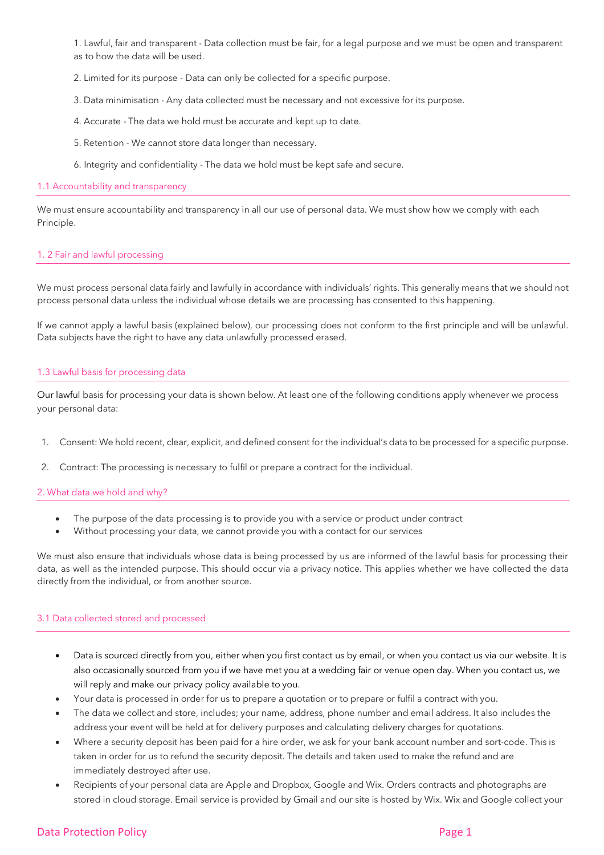1. Lawful, fair and transparent - Data collection must be fair, for a legal purpose and we must be open and transparent as to how the data will be used.

- 2. Limited for its purpose Data can only be collected for a specific purpose.
- 3. Data minimisation Any data collected must be necessary and not excessive for its purpose.
- 4. Accurate The data we hold must be accurate and kept up to date.
- 5. Retention We cannot store data longer than necessary.
- 6. Integrity and confidentiality The data we hold must be kept safe and secure.

#### 1.1 Accountability and transparency

We must ensure accountability and transparency in all our use of personal data. We must show how we comply with each Principle.

#### 1. 2 Fair and lawful processing

We must process personal data fairly and lawfully in accordance with individuals' rights. This generally means that we should not process personal data unless the individual whose details we are processing has consented to this happening.

If we cannot apply a lawful basis (explained below), our processing does not conform to the first principle and will be unlawful. Data subjects have the right to have any data unlawfully processed erased.

#### 1.3 Lawful basis for processing data

Our lawful basis for processing your data is shown below. At least one of the following conditions apply whenever we process your personal data:

- 1. Consent: We hold recent, clear, explicit, and defined consent for the individual's data to be processed for a specific purpose.
- 2. Contract: The processing is necessary to fulfil or prepare a contract for the individual.

#### 2. What data we hold and why?

- The purpose of the data processing is to provide you with a service or product under contract
- Without processing your data, we cannot provide you with a contact for our services

We must also ensure that individuals whose data is being processed by us are informed of the lawful basis for processing their data, as well as the intended purpose. This should occur via a privacy notice. This applies whether we have collected the data directly from the individual, or from another source.

#### 3.1 Data collected stored and processed

- Data is sourced directly from you, either when you first contact us by email, or when you contact us via our website. It is also occasionally sourced from you if we have met you at a wedding fair or venue open day. When you contact us, we will reply and make our privacy policy available to you.
- Your data is processed in order for us to prepare a quotation or to prepare or fulfil a contract with you.
- The data we collect and store, includes; your name, address, phone number and email address. It also includes the address your event will be held at for delivery purposes and calculating delivery charges for quotations.
- Where a security deposit has been paid for a hire order, we ask for your bank account number and sort-code. This is taken in order for us to refund the security deposit. The details and taken used to make the refund and are immediately destroyed after use.
- Recipients of your personal data are Apple and Dropbox, Google and Wix. Orders contracts and photographs are stored in cloud storage. Email service is provided by Gmail and our site is hosted by Wix. Wix and Google collect your

## Data Protection Policy **Page 1** and the page 1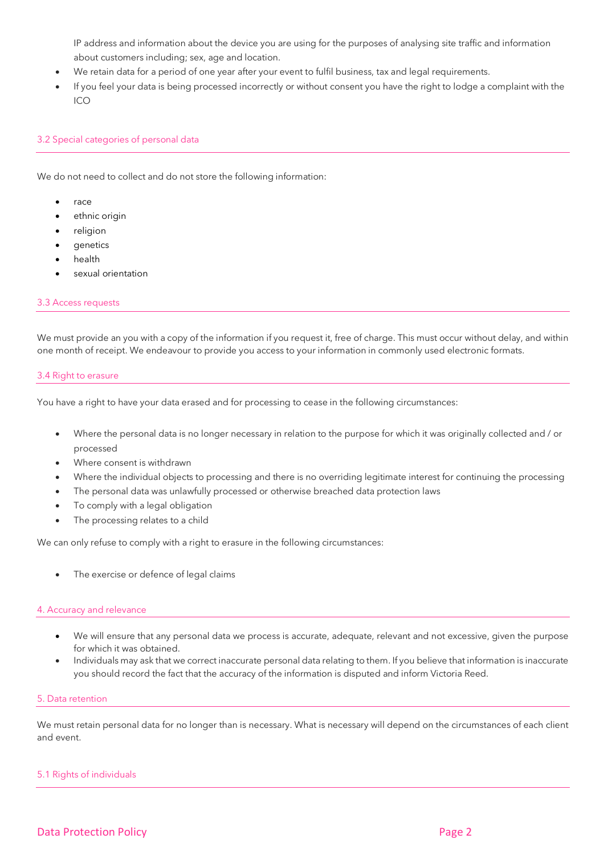IP address and information about the device you are using for the purposes of analysing site traffic and information about customers including; sex, age and location.

- We retain data for a period of one year after your event to fulfil business, tax and legal requirements.
- If you feel your data is being processed incorrectly or without consent you have the right to lodge a complaint with the  $ICO$

## 3.2 Special categories of personal data

We do not need to collect and do not store the following information:

- race
- ethnic origin
- religion
- **genetics**
- health
- sexual orientation

#### 3.3 Access requests

We must provide an you with a copy of the information if you request it, free of charge. This must occur without delay, and within one month of receipt. We endeavour to provide you access to your information in commonly used electronic formats.

#### 3.4 Right to erasure

You have a right to have your data erased and for processing to cease in the following circumstances:

- Where the personal data is no longer necessary in relation to the purpose for which it was originally collected and / or processed
- Where consent is withdrawn
- Where the individual objects to processing and there is no overriding legitimate interest for continuing the processing
- The personal data was unlawfully processed or otherwise breached data protection laws
- To comply with a legal obligation
- The processing relates to a child

We can only refuse to comply with a right to erasure in the following circumstances:

The exercise or defence of legal claims

#### 4. Accuracy and relevance

- We will ensure that any personal data we process is accurate, adequate, relevant and not excessive, given the purpose for which it was obtained.
- Individuals may ask that we correct inaccurate personal data relating to them. If you believe that information is inaccurate you should record the fact that the accuracy of the information is disputed and inform Victoria Reed.

#### 5. Data retention

We must retain personal data for no longer than is necessary. What is necessary will depend on the circumstances of each client and event.

#### 5.1 Rights of individuals